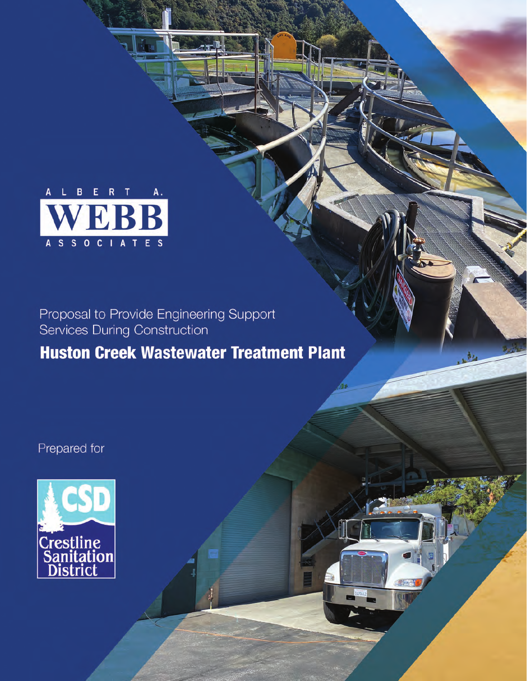

Proposal to Provide Engineering Support<br>Services During Construction

## **Huston Creek Wastewater Treatment Plant**

Prepared for

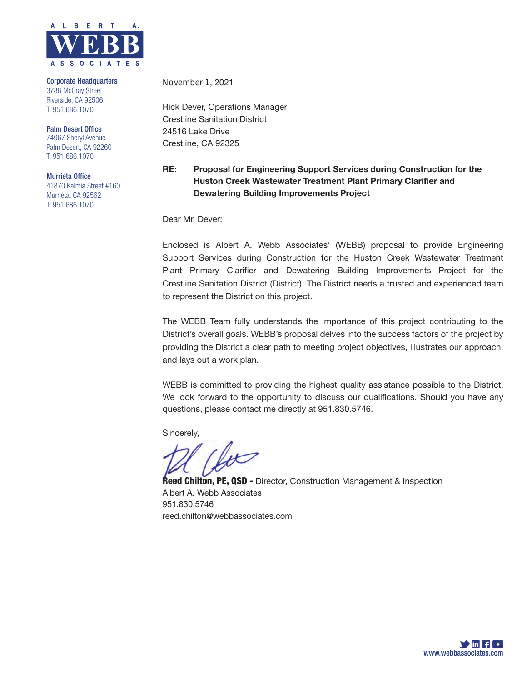

Corporate Headquarters 3788 McCray Street Riverside, CA 92506 T: 951.686.1070

Palm Desert Office 74967 Sheryl Avenue Palm Desert, CA 92260 T: 951.686.1070

Murrieta Office 41870 Kalmia Street #160 Murrieta, CA 92562 T: 951.686.1070

November 1, 2021

Rick Dever, Operations Manager Crestline Sanitation District 24516 Lake Drive Crestline, CA 92325

### RE: Proposal for Engineering Support Services during Construction for the Huston Creek Wastewater Treatment Plant Primary Clarifier and Dewatering Building Improvements Project

Dear Mr. Dever:

Enclosed is Albert A. Webb Associates' (WEBB) proposal to provide Engineering Support Services during Construction for the Huston Creek Wastewater Treatment Plant Primary Clarifier and Dewatering Building Improvements Project for the Crestline Sanitation District (District). The District needs a trusted and experienced team to represent the District on this project.

The WEBB Team fully understands the importance of this project contributing to the District's overall goals. WEBB's proposal delves into the success factors of the project by providing the District a clear path to meeting project objectives, illustrates our approach, and lays out a work plan.

WEBB is committed to providing the highest quality assistance possible to the District. We look forward to the opportunity to discuss our qualifications. Should you have any questions, please contact me directly at 951.830.5746.

Sincerely,

**Reed Chilton, PE, QSD -** Director, Construction Management & Inspection Albert A. Webb Associates 951.830.5746 reed.chilton@webbassociates.com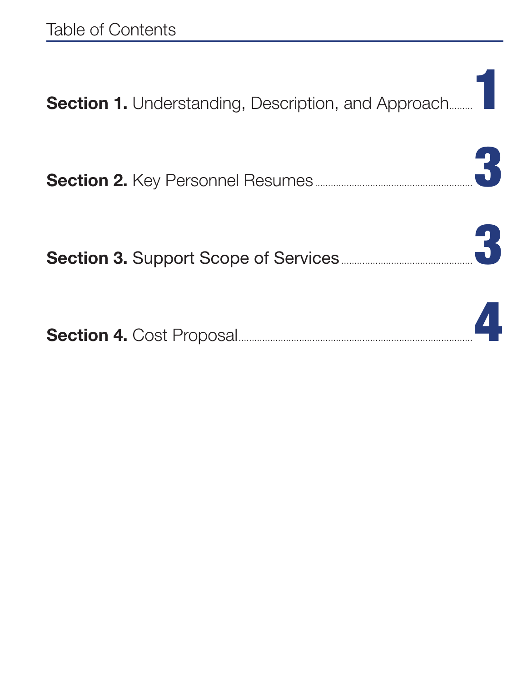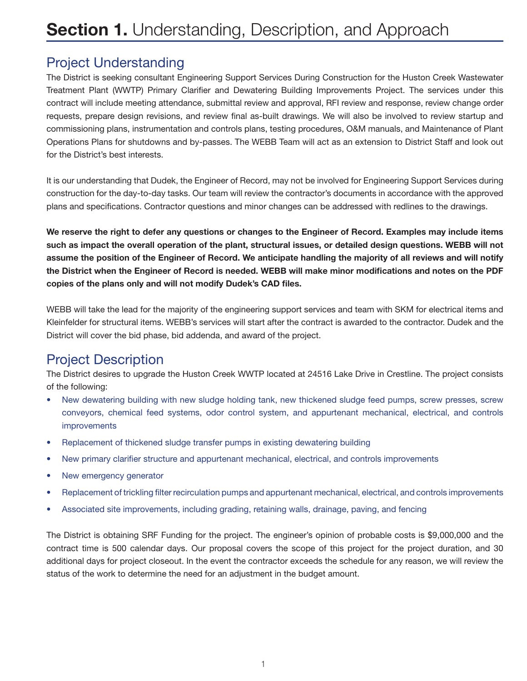## Project Understanding

The District is seeking consultant Engineering Support Services During Construction for the Huston Creek Wastewater Treatment Plant (WWTP) Primary Clarifier and Dewatering Building Improvements Project. The services under this contract will include meeting attendance, submittal review and approval, RFI review and response, review change order requests, prepare design revisions, and review final as-built drawings. We will also be involved to review startup and commissioning plans, instrumentation and controls plans, testing procedures, O&M manuals, and Maintenance of Plant Operations Plans for shutdowns and by-passes. The WEBB Team will act as an extension to District Staff and look out for the District's best interests.

It is our understanding that Dudek, the Engineer of Record, may not be involved for Engineering Support Services during construction for the day-to-day tasks. Our team will review the contractor's documents in accordance with the approved plans and specifications. Contractor questions and minor changes can be addressed with redlines to the drawings.

We reserve the right to defer any questions or changes to the Engineer of Record. Examples may include items such as impact the overall operation of the plant, structural issues, or detailed design questions. WEBB will not assume the position of the Engineer of Record. We anticipate handling the majority of all reviews and will notify the District when the Engineer of Record is needed. WEBB will make minor modifications and notes on the PDF copies of the plans only and will not modify Dudek's CAD files.

WEBB will take the lead for the majority of the engineering support services and team with SKM for electrical items and Kleinfelder for structural items. WEBB's services will start after the contract is awarded to the contractor. Dudek and the District will cover the bid phase, bid addenda, and award of the project.

## Project Description

The District desires to upgrade the Huston Creek WWTP located at 24516 Lake Drive in Crestline. The project consists of the following:

- New dewatering building with new sludge holding tank, new thickened sludge feed pumps, screw presses, screw conveyors, chemical feed systems, odor control system, and appurtenant mechanical, electrical, and controls improvements
- Replacement of thickened sludge transfer pumps in existing dewatering building
- New primary clarifier structure and appurtenant mechanical, electrical, and controls improvements
- New emergency generator
- Replacement of trickling filter recirculation pumps and appurtenant mechanical, electrical, and controls improvements
- Associated site improvements, including grading, retaining walls, drainage, paving, and fencing

The District is obtaining SRF Funding for the project. The engineer's opinion of probable costs is \$9,000,000 and the contract time is 500 calendar days. Our proposal covers the scope of this project for the project duration, and 30 additional days for project closeout. In the event the contractor exceeds the schedule for any reason, we will review the status of the work to determine the need for an adjustment in the budget amount.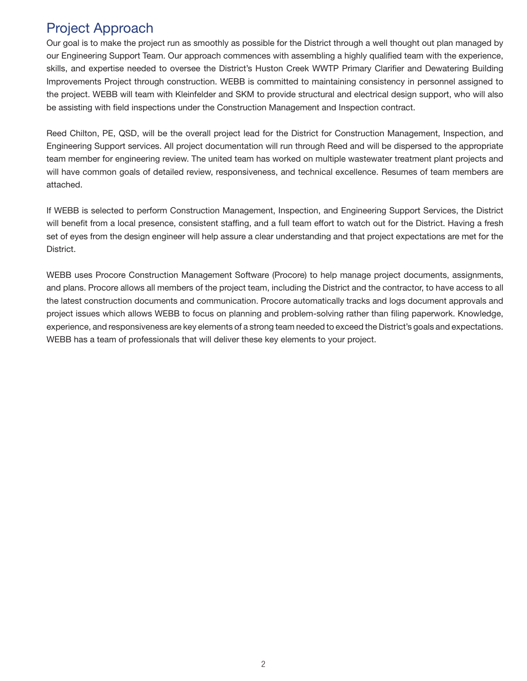## Project Approach

Our goal is to make the project run as smoothly as possible for the District through a well thought out plan managed by our Engineering Support Team. Our approach commences with assembling a highly qualified team with the experience, skills, and expertise needed to oversee the District's Huston Creek WWTP Primary Clarifier and Dewatering Building Improvements Project through construction. WEBB is committed to maintaining consistency in personnel assigned to the project. WEBB will team with Kleinfelder and SKM to provide structural and electrical design support, who will also be assisting with field inspections under the Construction Management and Inspection contract.

Reed Chilton, PE, QSD, will be the overall project lead for the District for Construction Management, Inspection, and Engineering Support services. All project documentation will run through Reed and will be dispersed to the appropriate team member for engineering review. The united team has worked on multiple wastewater treatment plant projects and will have common goals of detailed review, responsiveness, and technical excellence. Resumes of team members are attached.

If WEBB is selected to perform Construction Management, Inspection, and Engineering Support Services, the District will benefit from a local presence, consistent staffing, and a full team effort to watch out for the District. Having a fresh set of eyes from the design engineer will help assure a clear understanding and that project expectations are met for the District.

WEBB uses Procore Construction Management Software (Procore) to help manage project documents, assignments, and plans. Procore allows all members of the project team, including the District and the contractor, to have access to all the latest construction documents and communication. Procore automatically tracks and logs document approvals and project issues which allows WEBB to focus on planning and problem-solving rather than filing paperwork. Knowledge, experience, and responsiveness are key elements of a strong team needed to exceed the District's goals and expectations. WEBB has a team of professionals that will deliver these key elements to your project.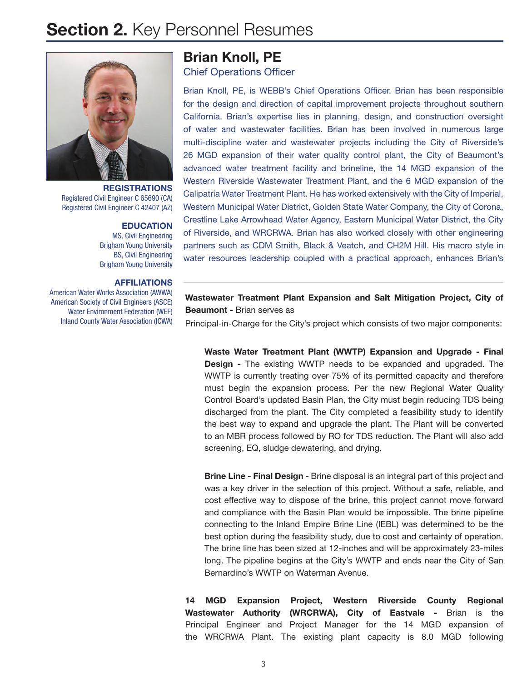## **Section 2. Key Personnel Resumes**



**REGISTRATIONS** Registered Civil Engineer C 65690 (CA) Registered Civil Engineer C 42407 (AZ)

### **EDUCATION**

MS, Civil Engineering Brigham Young University BS, Civil Engineering Brigham Young University

### AFFILIATIONS

American Water Works Association (AWWA) American Society of Civil Engineers (ASCE) Water Environment Federation (WEF) Inland County Water Association (ICWA)

# Brian Knoll, PE

Chief Operations Officer

Brian Knoll, PE, is WEBB's Chief Operations Officer. Brian has been responsible for the design and direction of capital improvement projects throughout southern California. Brian's expertise lies in planning, design, and construction oversight of water and wastewater facilities. Brian has been involved in numerous large multi-discipline water and wastewater projects including the City of Riverside's 26 MGD expansion of their water quality control plant, the City of Beaumont's advanced water treatment facility and brineline, the 14 MGD expansion of the Western Riverside Wastewater Treatment Plant, and the 6 MGD expansion of the Calipatria Water Treatment Plant. He has worked extensively with the City of Imperial, Western Municipal Water District, Golden State Water Company, the City of Corona, Crestline Lake Arrowhead Water Agency, Eastern Municipal Water District, the City of Riverside, and WRCRWA. Brian has also worked closely with other engineering partners such as CDM Smith, Black & Veatch, and CH2M Hill. His macro style in water resources leadership coupled with a practical approach, enhances Brian's

Wastewater Treatment Plant Expansion and Salt Mitigation Project, City of Beaumont - Brian serves as

Principal-in-Charge for the City's project which consists of two major components:

Waste Water Treatment Plant (WWTP) Expansion and Upgrade - Final Design - The existing WWTP needs to be expanded and upgraded. The WWTP is currently treating over 75% of its permitted capacity and therefore must begin the expansion process. Per the new Regional Water Quality Control Board's updated Basin Plan, the City must begin reducing TDS being discharged from the plant. The City completed a feasibility study to identify the best way to expand and upgrade the plant. The Plant will be converted to an MBR process followed by RO for TDS reduction. The Plant will also add screening, EQ, sludge dewatering, and drying.

Brine Line - Final Design - Brine disposal is an integral part of this project and was a key driver in the selection of this project. Without a safe, reliable, and cost effective way to dispose of the brine, this project cannot move forward and compliance with the Basin Plan would be impossible. The brine pipeline connecting to the Inland Empire Brine Line (IEBL) was determined to be the best option during the feasibility study, due to cost and certainty of operation. The brine line has been sized at 12-inches and will be approximately 23-miles long. The pipeline begins at the City's WWTP and ends near the City of San Bernardino's WWTP on Waterman Avenue.

14 MGD Expansion Project, Western Riverside County Regional Wastewater Authority (WRCRWA), City of Eastvale - Brian is the Principal Engineer and Project Manager for the 14 MGD expansion of the WRCRWA Plant. The existing plant capacity is 8.0 MGD following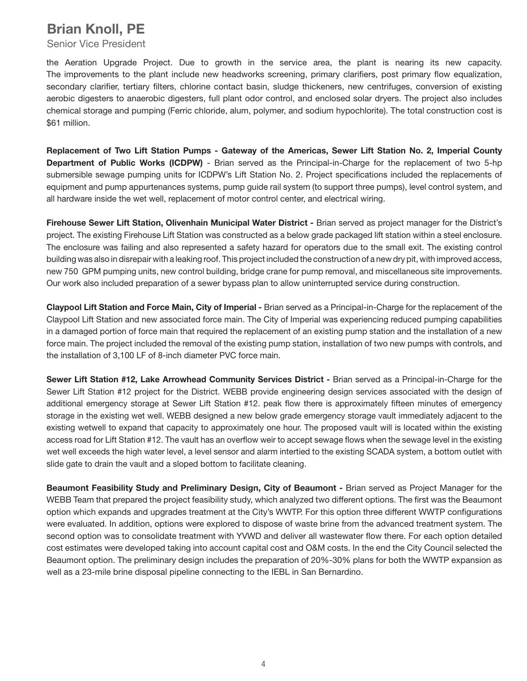## Brian Knoll, PE

Senior Vice President

the Aeration Upgrade Project. Due to growth in the service area, the plant is nearing its new capacity. The improvements to the plant include new headworks screening, primary clarifiers, post primary flow equalization, secondary clarifier, tertiary filters, chlorine contact basin, sludge thickeners, new centrifuges, conversion of existing aerobic digesters to anaerobic digesters, full plant odor control, and enclosed solar dryers. The project also includes chemical storage and pumping (Ferric chloride, alum, polymer, and sodium hypochlorite). The total construction cost is \$61 million.

Replacement of Two Lift Station Pumps - Gateway of the Americas, Sewer Lift Station No. 2, Imperial County Department of Public Works (ICDPW) - Brian served as the Principal-in-Charge for the replacement of two 5-hp submersible sewage pumping units for ICDPW's Lift Station No. 2. Project specifications included the replacements of equipment and pump appurtenances systems, pump guide rail system (to support three pumps), level control system, and all hardware inside the wet well, replacement of motor control center, and electrical wiring.

Firehouse Sewer Lift Station, Olivenhain Municipal Water District - Brian served as project manager for the District's project. The existing Firehouse Lift Station was constructed as a below grade packaged lift station within a steel enclosure. The enclosure was failing and also represented a safety hazard for operators due to the small exit. The existing control building was also in disrepair with a leaking roof. This project included the construction of a new dry pit, with improved access, new 750 GPM pumping units, new control building, bridge crane for pump removal, and miscellaneous site improvements. Our work also included preparation of a sewer bypass plan to allow uninterrupted service during construction.

Claypool Lift Station and Force Main, City of Imperial - Brian served as a Principal-in-Charge for the replacement of the Claypool Lift Station and new associated force main. The City of Imperial was experiencing reduced pumping capabilities in a damaged portion of force main that required the replacement of an existing pump station and the installation of a new force main. The project included the removal of the existing pump station, installation of two new pumps with controls, and the installation of 3,100 LF of 8-inch diameter PVC force main.

Sewer Lift Station #12, Lake Arrowhead Community Services District - Brian served as a Principal-in-Charge for the Sewer Lift Station #12 project for the District. WEBB provide engineering design services associated with the design of additional emergency storage at Sewer Lift Station #12. peak flow there is approximately fifteen minutes of emergency storage in the existing wet well. WEBB designed a new below grade emergency storage vault immediately adjacent to the existing wetwell to expand that capacity to approximately one hour. The proposed vault will is located within the existing access road for Lift Station #12. The vault has an overflow weir to accept sewage flows when the sewage level in the existing wet well exceeds the high water level, a level sensor and alarm intertied to the existing SCADA system, a bottom outlet with slide gate to drain the vault and a sloped bottom to facilitate cleaning.

Beaumont Feasibility Study and Preliminary Design, City of Beaumont - Brian served as Project Manager for the WEBB Team that prepared the project feasibility study, which analyzed two different options. The first was the Beaumont option which expands and upgrades treatment at the City's WWTP. For this option three different WWTP configurations were evaluated. In addition, options were explored to dispose of waste brine from the advanced treatment system. The second option was to consolidate treatment with YVWD and deliver all wastewater flow there. For each option detailed cost estimates were developed taking into account capital cost and O&M costs. In the end the City Council selected the Beaumont option. The preliminary design includes the preparation of 20%-30% plans for both the WWTP expansion as well as a 23-mile brine disposal pipeline connecting to the IEBL in San Bernardino.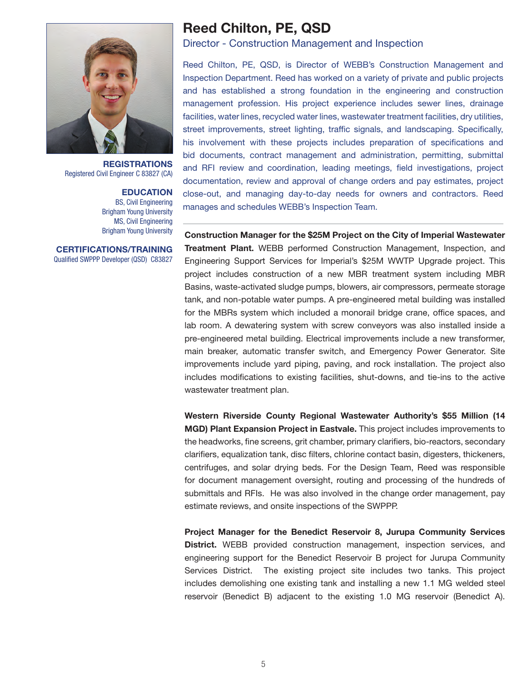

**REGISTRATIONS** Registered Civil Engineer C 83827 (CA)

> **EDUCATION** BS, Civil Engineering Brigham Young University MS, Civil Engineering Brigham Young University

CERTIFICATIONS/TRAINING Qualified SWPPP Developer (QSD) C83827

## Reed Chilton, PE, QSD

Director - Construction Management and Inspection

Reed Chilton, PE, QSD, is Director of WEBB's Construction Management and Inspection Department. Reed has worked on a variety of private and public projects and has established a strong foundation in the engineering and construction management profession. His project experience includes sewer lines, drainage facilities, water lines, recycled water lines, wastewater treatment facilities, dry utilities, street improvements, street lighting, traffic signals, and landscaping. Specifically, his involvement with these projects includes preparation of specifications and bid documents, contract management and administration, permitting, submittal and RFI review and coordination, leading meetings, field investigations, project documentation, review and approval of change orders and pay estimates, project close-out, and managing day-to-day needs for owners and contractors. Reed manages and schedules WEBB's Inspection Team.

Construction Manager for the \$25M Project on the City of Imperial Wastewater Treatment Plant. WEBB performed Construction Management, Inspection, and Engineering Support Services for Imperial's \$25M WWTP Upgrade project. This project includes construction of a new MBR treatment system including MBR Basins, waste-activated sludge pumps, blowers, air compressors, permeate storage tank, and non-potable water pumps. A pre-engineered metal building was installed for the MBRs system which included a monorail bridge crane, office spaces, and lab room. A dewatering system with screw conveyors was also installed inside a pre-engineered metal building. Electrical improvements include a new transformer, main breaker, automatic transfer switch, and Emergency Power Generator. Site improvements include yard piping, paving, and rock installation. The project also includes modifications to existing facilities, shut-downs, and tie-ins to the active wastewater treatment plan.

Western Riverside County Regional Wastewater Authority's \$55 Million (14 MGD) Plant Expansion Project in Eastvale. This project includes improvements to the headworks, fine screens, grit chamber, primary clarifiers, bio-reactors, secondary clarifiers, equalization tank, disc filters, chlorine contact basin, digesters, thickeners, centrifuges, and solar drying beds. For the Design Team, Reed was responsible for document management oversight, routing and processing of the hundreds of submittals and RFIs. He was also involved in the change order management, pay estimate reviews, and onsite inspections of the SWPPP.

Project Manager for the Benedict Reservoir 8, Jurupa Community Services District. WEBB provided construction management, inspection services, and engineering support for the Benedict Reservoir B project for Jurupa Community Services District. The existing project site includes two tanks. This project includes demolishing one existing tank and installing a new 1.1 MG welded steel reservoir (Benedict B) adjacent to the existing 1.0 MG reservoir (Benedict A).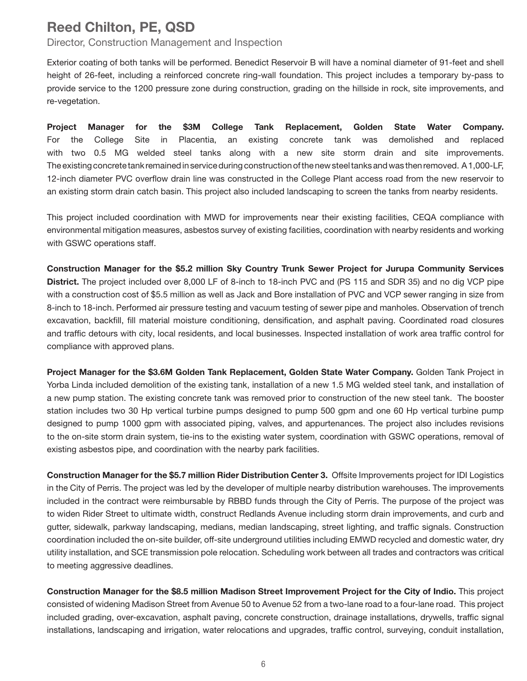## Reed Chilton, PE, QSD

Director, Construction Management and Inspection

Exterior coating of both tanks will be performed. Benedict Reservoir B will have a nominal diameter of 91-feet and shell height of 26-feet, including a reinforced concrete ring-wall foundation. This project includes a temporary by-pass to provide service to the 1200 pressure zone during construction, grading on the hillside in rock, site improvements, and re-vegetation.

Project Manager for the \$3M College Tank Replacement, Golden State Water Company. For the College Site in Placentia, an existing concrete tank was demolished and replaced with two 0.5 MG welded steel tanks along with a new site storm drain and site improvements. The existing concrete tank remained in service during construction of the new steel tanks and was then removed. A 1,000-LF, 12-inch diameter PVC overflow drain line was constructed in the College Plant access road from the new reservoir to an existing storm drain catch basin. This project also included landscaping to screen the tanks from nearby residents.

This project included coordination with MWD for improvements near their existing facilities, CEQA compliance with environmental mitigation measures, asbestos survey of existing facilities, coordination with nearby residents and working with GSWC operations staff.

Construction Manager for the \$5.2 million Sky Country Trunk Sewer Project for Jurupa Community Services District. The project included over 8,000 LF of 8-inch to 18-inch PVC and (PS 115 and SDR 35) and no dig VCP pipe with a construction cost of \$5.5 million as well as Jack and Bore installation of PVC and VCP sewer ranging in size from 8-inch to 18-inch. Performed air pressure testing and vacuum testing of sewer pipe and manholes. Observation of trench excavation, backfill, fill material moisture conditioning, densification, and asphalt paving. Coordinated road closures and traffic detours with city, local residents, and local businesses. Inspected installation of work area traffic control for compliance with approved plans.

Project Manager for the \$3.6M Golden Tank Replacement, Golden State Water Company. Golden Tank Project in Yorba Linda included demolition of the existing tank, installation of a new 1.5 MG welded steel tank, and installation of a new pump station. The existing concrete tank was removed prior to construction of the new steel tank. The booster station includes two 30 Hp vertical turbine pumps designed to pump 500 gpm and one 60 Hp vertical turbine pump designed to pump 1000 gpm with associated piping, valves, and appurtenances. The project also includes revisions to the on-site storm drain system, tie-ins to the existing water system, coordination with GSWC operations, removal of existing asbestos pipe, and coordination with the nearby park facilities.

Construction Manager for the \$5.7 million Rider Distribution Center 3. Offsite Improvements project for IDI Logistics in the City of Perris. The project was led by the developer of multiple nearby distribution warehouses. The improvements included in the contract were reimbursable by RBBD funds through the City of Perris. The purpose of the project was to widen Rider Street to ultimate width, construct Redlands Avenue including storm drain improvements, and curb and gutter, sidewalk, parkway landscaping, medians, median landscaping, street lighting, and traffic signals. Construction coordination included the on-site builder, off-site underground utilities including EMWD recycled and domestic water, dry utility installation, and SCE transmission pole relocation. Scheduling work between all trades and contractors was critical to meeting aggressive deadlines.

Construction Manager for the \$8.5 million Madison Street Improvement Project for the City of Indio. This project consisted of widening Madison Street from Avenue 50 to Avenue 52 from a two-lane road to a four-lane road. This project included grading, over-excavation, asphalt paving, concrete construction, drainage installations, drywells, traffic signal installations, landscaping and irrigation, water relocations and upgrades, traffic control, surveying, conduit installation,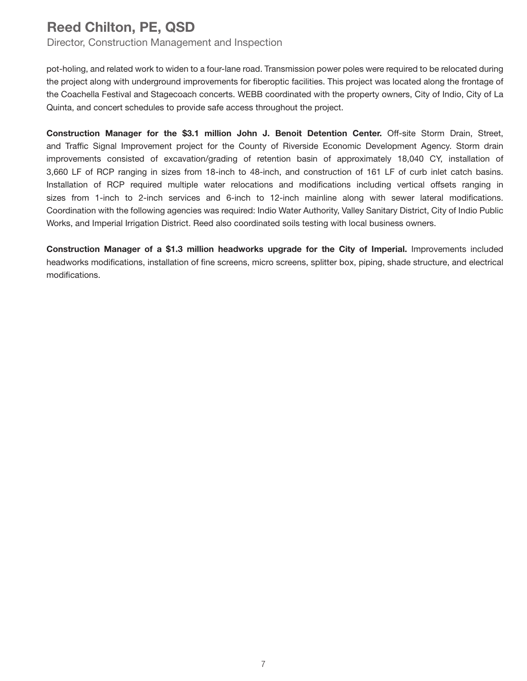## Reed Chilton, PE, QSD

Director, Construction Management and Inspection

pot-holing, and related work to widen to a four-lane road. Transmission power poles were required to be relocated during the project along with underground improvements for fiberoptic facilities. This project was located along the frontage of the Coachella Festival and Stagecoach concerts. WEBB coordinated with the property owners, City of Indio, City of La Quinta, and concert schedules to provide safe access throughout the project.

Construction Manager for the \$3.1 million John J. Benoit Detention Center. Off-site Storm Drain, Street, and Traffic Signal Improvement project for the County of Riverside Economic Development Agency. Storm drain improvements consisted of excavation/grading of retention basin of approximately 18,040 CY, installation of 3,660 LF of RCP ranging in sizes from 18-inch to 48-inch, and construction of 161 LF of curb inlet catch basins. Installation of RCP required multiple water relocations and modifications including vertical offsets ranging in sizes from 1-inch to 2-inch services and 6-inch to 12-inch mainline along with sewer lateral modifications. Coordination with the following agencies was required: Indio Water Authority, Valley Sanitary District, City of Indio Public Works, and Imperial Irrigation District. Reed also coordinated soils testing with local business owners.

Construction Manager of a \$1.3 million headworks upgrade for the City of Imperial. Improvements included headworks modifications, installation of fine screens, micro screens, splitter box, piping, shade structure, and electrical modifications.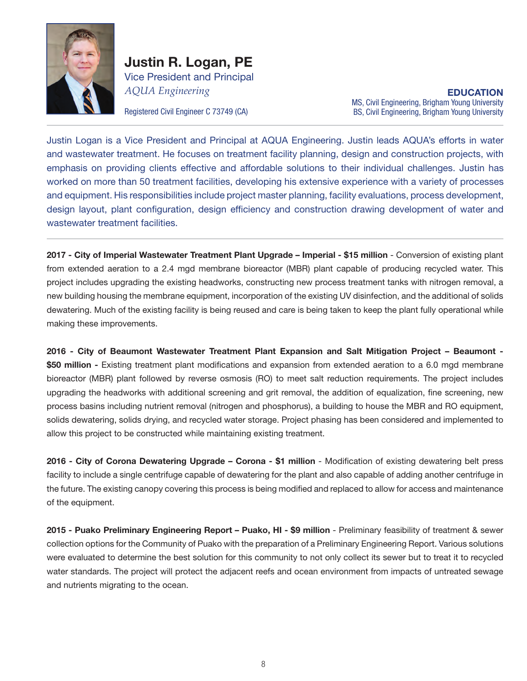

Justin R. Logan, PE Vice President and Principal *AQUA Engineering*

EDUCATION MS, Civil Engineering, Brigham Young University Registered Civil Engineer C 73749 (CA) BS, Civil Engineering, Brigham Young University

Justin Logan is a Vice President and Principal at AQUA Engineering. Justin leads AQUA's efforts in water and wastewater treatment. He focuses on treatment facility planning, design and construction projects, with emphasis on providing clients effective and affordable solutions to their individual challenges. Justin has worked on more than 50 treatment facilities, developing his extensive experience with a variety of processes and equipment. His responsibilities include project master planning, facility evaluations, process development, design layout, plant configuration, design efficiency and construction drawing development of water and wastewater treatment facilities.

2017 - City of Imperial Wastewater Treatment Plant Upgrade - Imperial - \$15 million - Conversion of existing plant from extended aeration to a 2.4 mgd membrane bioreactor (MBR) plant capable of producing recycled water. This project includes upgrading the existing headworks, constructing new process treatment tanks with nitrogen removal, a new building housing the membrane equipment, incorporation of the existing UV disinfection, and the additional of solids dewatering. Much of the existing facility is being reused and care is being taken to keep the plant fully operational while making these improvements.

2016 - City of Beaumont Wastewater Treatment Plant Expansion and Salt Mitigation Project – Beaumont - \$50 million - Existing treatment plant modifications and expansion from extended aeration to a 6.0 mgd membrane bioreactor (MBR) plant followed by reverse osmosis (RO) to meet salt reduction requirements. The project includes upgrading the headworks with additional screening and grit removal, the addition of equalization, fine screening, new process basins including nutrient removal (nitrogen and phosphorus), a building to house the MBR and RO equipment, solids dewatering, solids drying, and recycled water storage. Project phasing has been considered and implemented to allow this project to be constructed while maintaining existing treatment.

2016 - City of Corona Dewatering Upgrade – Corona - \$1 million - Modification of existing dewatering belt press facility to include a single centrifuge capable of dewatering for the plant and also capable of adding another centrifuge in the future. The existing canopy covering this process is being modified and replaced to allow for access and maintenance of the equipment.

2015 - Puako Preliminary Engineering Report – Puako, HI - \$9 million - Preliminary feasibility of treatment & sewer collection options for the Community of Puako with the preparation of a Preliminary Engineering Report. Various solutions were evaluated to determine the best solution for this community to not only collect its sewer but to treat it to recycled water standards. The project will protect the adjacent reefs and ocean environment from impacts of untreated sewage and nutrients migrating to the ocean.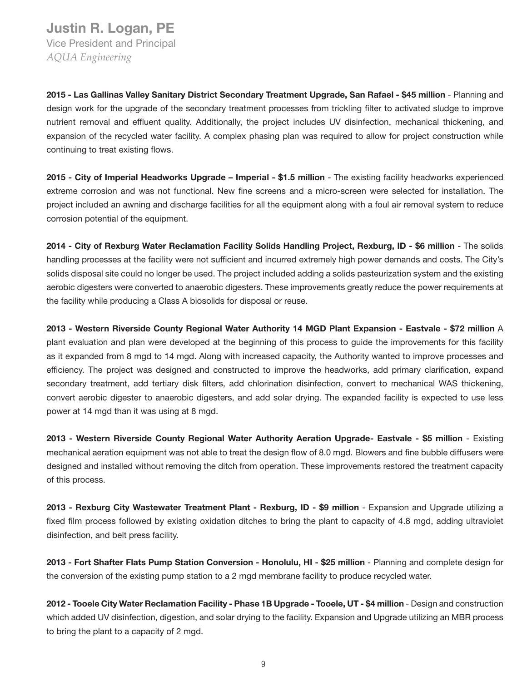## Justin R. Logan, PE Vice President and Principal

*AQUA Engineering*

2015 - Las Gallinas Valley Sanitary District Secondary Treatment Upgrade, San Rafael - \$45 million - Planning and design work for the upgrade of the secondary treatment processes from trickling filter to activated sludge to improve nutrient removal and effluent quality. Additionally, the project includes UV disinfection, mechanical thickening, and expansion of the recycled water facility. A complex phasing plan was required to allow for project construction while continuing to treat existing flows.

2015 - City of Imperial Headworks Upgrade – Imperial - \$1.5 million - The existing facility headworks experienced extreme corrosion and was not functional. New fine screens and a micro-screen were selected for installation. The project included an awning and discharge facilities for all the equipment along with a foul air removal system to reduce corrosion potential of the equipment.

2014 - City of Rexburg Water Reclamation Facility Solids Handling Project, Rexburg, ID - \$6 million - The solids handling processes at the facility were not sufficient and incurred extremely high power demands and costs. The City's solids disposal site could no longer be used. The project included adding a solids pasteurization system and the existing aerobic digesters were converted to anaerobic digesters. These improvements greatly reduce the power requirements at the facility while producing a Class A biosolids for disposal or reuse.

2013 - Western Riverside County Regional Water Authority 14 MGD Plant Expansion - Eastvale - \$72 million A plant evaluation and plan were developed at the beginning of this process to guide the improvements for this facility as it expanded from 8 mgd to 14 mgd. Along with increased capacity, the Authority wanted to improve processes and efficiency. The project was designed and constructed to improve the headworks, add primary clarification, expand secondary treatment, add tertiary disk filters, add chlorination disinfection, convert to mechanical WAS thickening, convert aerobic digester to anaerobic digesters, and add solar drying. The expanded facility is expected to use less power at 14 mgd than it was using at 8 mgd.

2013 - Western Riverside County Regional Water Authority Aeration Upgrade- Eastvale - \$5 million - Existing mechanical aeration equipment was not able to treat the design flow of 8.0 mgd. Blowers and fine bubble diffusers were designed and installed without removing the ditch from operation. These improvements restored the treatment capacity of this process.

2013 - Rexburg City Wastewater Treatment Plant - Rexburg, ID - \$9 million - Expansion and Upgrade utilizing a fixed film process followed by existing oxidation ditches to bring the plant to capacity of 4.8 mgd, adding ultraviolet disinfection, and belt press facility.

2013 - Fort Shafter Flats Pump Station Conversion - Honolulu, HI - \$25 million - Planning and complete design for the conversion of the existing pump station to a 2 mgd membrane facility to produce recycled water.

2012 - Tooele City Water Reclamation Facility - Phase 1B Upgrade - Tooele, UT - \$4 million - Design and construction which added UV disinfection, digestion, and solar drying to the facility. Expansion and Upgrade utilizing an MBR process to bring the plant to a capacity of 2 mgd.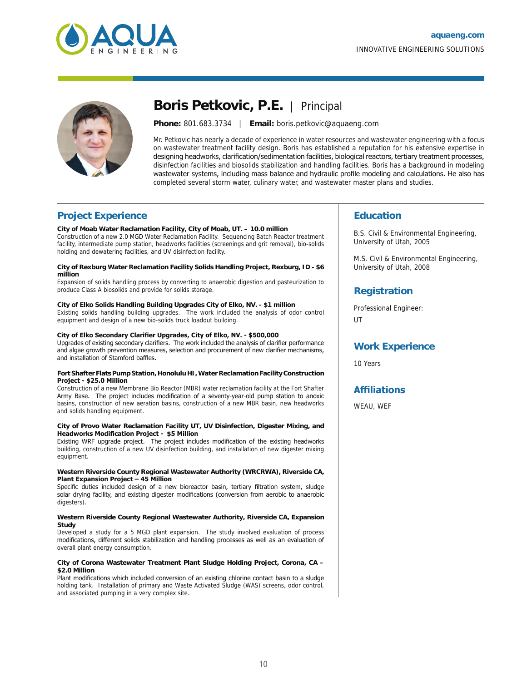



## **Boris Petkovic, P.E.** | Principal

**Phone:** 801.683.3734 | **Email:** boris.petkovic@aquaeng.com

Mr. Petkovic has nearly a decade of experience in water resources and wastewater engineering with a focus on wastewater treatment facility design. Boris has established a reputation for his extensive expertise in designing headworks, clarification/sedimentation facilities, biological reactors, tertiary treatment processes, disinfection facilities and biosolids stabilization and handling facilities. Boris has a background in modeling wastewater systems, including mass balance and hydraulic profile modeling and calculations. He also has completed several storm water, culinary water, and wastewater master plans and studies.

### **Project Experience**

**City of Moab Water Reclamation Facility, City of Moab, UT. – 10.0 million**

Construction of a new 2.0 MGD Water Reclamation Facility. Sequencing Batch Reactor treatment facility, intermediate pump station, headworks facilities (screenings and grit removal), bio-solids holding and dewatering facilities, and UV disinfection facility.

#### **City of Rexburg Water Reclamation Facility Solids Handling Project, Rexburg, ID - \$6 million**

Expansion of solids handling process by converting to anaerobic digestion and pasteurization to produce Class A biosolids and provide for solids storage.

#### **City of Elko Solids Handling Building Upgrades City of Elko, NV. - \$1 million**

Existing solids handling building upgrades. The work included the analysis of odor control equipment and design of a new bio-solids truck loadout building.

### **City of Elko Secondary Clarifier Upgrades, City of Elko, NV. - \$500,000**

Upgrades of existing secondary clarifiers. The work included the analysis of clarifier performance and algae growth prevention measures, selection and procurement of new clarifier mechanisms, and installation of Stamford baffles.

#### **Fort Shafter Flats Pump Station, Honolulu HI, Water Reclamation Facility Construction Project - \$25.0 Million**

Construction of a new Membrane Bio Reactor (MBR) water reclamation facility at the Fort Shafter Army Base. The project includes modification of a seventy-year-old pump station to anoxic basins, construction of new aeration basins, construction of a new MBR basin, new headworks and solids handling equipment.

#### **City of Provo Water Reclamation Facility UT, UV Disinfection, Digester Mixing, and Headworks Modification Project - \$5 Million**

Existing WRF upgrade project. The project includes modification of the existing headworks building, construction of a new UV disinfection building, and installation of new digester mixing equipment.

#### **Western Riverside County Regional Wastewater Authority (WRCRWA), Riverside CA, Plant Expansion Project – 45 Million**

Specific duties included design of a new bioreactor basin, tertiary filtration system, sludge solar drying facility, and existing digester modifications (conversion from aerobic to anaerobic digesters).

#### **Western Riverside County Regional Wastewater Authority, Riverside CA, Expansion Study**

Developed a study for a 5 MGD plant expansion. The study involved evaluation of process modifications, different solids stabilization and handling processes as well as an evaluation of overall plant energy consumption.

#### **City of Corona Wastewater Treatment Plant Sludge Holding Project, Corona, CA – \$2.0 Million**

Plant modifications which included conversion of an existing chlorine contact basin to a sludge holding tank. Installation of primary and Waste Activated Sludge (WAS) screens, odor control, and associated pumping in a very complex site.

### **Education**

B.S. Civil & Environmental Engineering, University of Utah, 2005

M.S. Civil & Environmental Engineering, University of Utah, 2008

### **Registration**

Professional Engineer: UT

### **Work Experience**

10 Years

### **Affiliations**

WEAU, WEF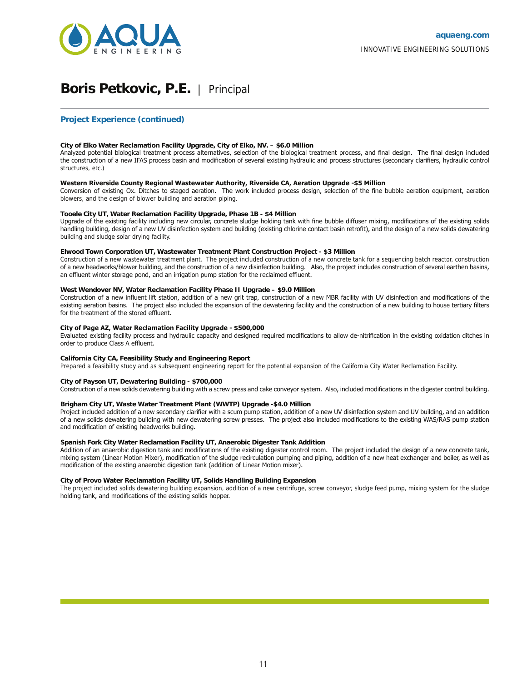

## **Boris Petkovic, P.E.** | Principal

### **Project Experience (continued)**

#### **City of Elko Water Reclamation Facility Upgrade, City of Elko, NV. – \$6.0 Million**

Analyzed potential biological treatment process alternatives, selection of the biological treatment process, and final design. The final design included the construction of a new IFAS process basin and modification of several existing hydraulic and process structures (secondary clarifiers, hydraulic control structures, etc.)

#### **Western Riverside County Regional Wastewater Authority, Riverside CA, Aeration Upgrade -\$5 Million**

Conversion of existing Ox. Ditches to staged aeration. The work included process design, selection of the fine bubble aeration equipment, aeration blowers, and the design of blower building and aeration piping.

#### **Tooele City UT, Water Reclamation Facility Upgrade, Phase 1B - \$4 Million**

Upgrade of the existing facility including new circular, concrete sludge holding tank with fine bubble diffuser mixing, modifications of the existing solids handling building, design of a new UV disinfection system and building (existing chlorine contact basin retrofit), and the design of a new solids dewatering building and sludge solar drying facility.

#### **Elwood Town Corporation UT, Wastewater Treatment Plant Construction Project - \$3 Million**

Construction of a new wastewater treatment plant. The project included construction of a new concrete tank for a sequencing batch reactor, construction of a new headworks/blower building, and the construction of a new disinfection building. Also, the project includes construction of several earthen basins, an effluent winter storage pond, and an irrigation pump station for the reclaimed effluent.

#### **West Wendover NV, Water Reclamation Facility Phase II Upgrade – \$9.0 Million**

Construction of a new influent lift station, addition of a new grit trap, construction of a new MBR facility with UV disinfection and modifications of the existing aeration basins. The project also included the expansion of the dewatering facility and the construction of a new building to house tertiary filters for the treatment of the stored effluent.

#### **City of Page AZ, Water Reclamation Facility Upgrade - \$500,000**

Evaluated existing facility process and hydraulic capacity and designed required modifications to allow de-nitrification in the existing oxidation ditches in order to produce Class A effluent.

#### **California City CA, Feasibility Study and Engineering Report**

Prepared a feasibility study and as subsequent engineering report for the potential expansion of the California City Water Reclamation Facility.

#### **City of Payson UT, Dewatering Building - \$700,000**

Construction of a new solids dewatering building with a screw press and cake conveyor system. Also, included modifications in the digester control building.

#### **Brigham City UT, Waste Water Treatment Plant (WWTP) Upgrade -\$4.0 Million**

Project included addition of a new secondary clarifier with a scum pump station, addition of a new UV disinfection system and UV building, and an addition of a new solids dewatering building with new dewatering screw presses. The project also included modifications to the existing WAS/RAS pump station and modification of existing headworks building.

#### **Spanish Fork City Water Reclamation Facility UT, Anaerobic Digester Tank Addition**

Addition of an anaerobic digestion tank and modifications of the existing digester control room. The project included the design of a new concrete tank, mixing system (Linear Motion Mixer), modification of the sludge recirculation pumping and piping, addition of a new heat exchanger and boiler, as well as modification of the existing anaerobic digestion tank (addition of Linear Motion mixer).

#### **City of Provo Water Reclamation Facility UT, Solids Handling Building Expansion**

The project included solids dewatering building expansion, addition of a new centrifuge, screw conveyor, sludge feed pump, mixing system for the sludge holding tank, and modifications of the existing solids hopper.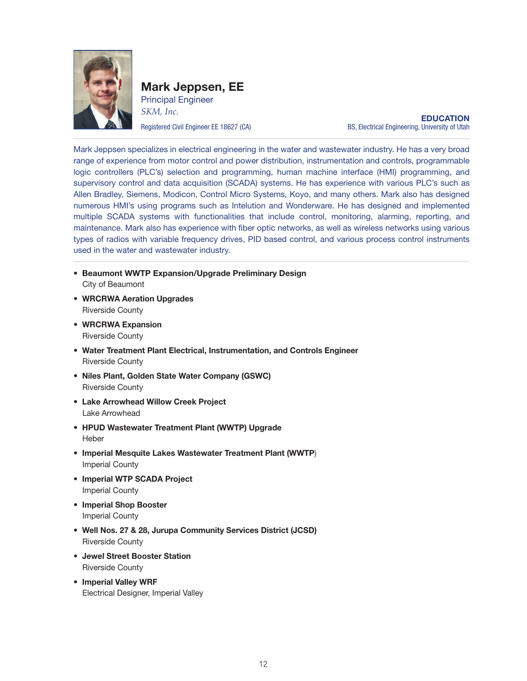

Mark Jeppsen, EE Principal Engineer *SKM, Inc.*

**EDUCATION** Registered Civil Engineer EE 18627 (CA) BS, Electrical Engineering, University of Utah

Mark Jeppsen specializes in electrical engineering in the water and wastewater industry. He has a very broad range of experience from motor control and power distribution, instrumentation and controls, programmable logic controllers (PLC's) selection and programming, human machine interface (HMI) programming, and supervisory control and data acquisition (SCADA) systems. He has experience with various PLC's such as Allen Bradley, Siemens, Modicon, Control Micro Systems, Koyo, and many others. Mark also has designed numerous HMI's using programs such as Intelution and Wonderware. He has designed and implemented multiple SCADA systems with functionalities that include control, monitoring, alarming, reporting, and maintenance. Mark also has experience with fiber optic networks, as well as wireless networks using various types of radios with variable frequency drives, PID based control, and various process control instruments used in the water and wastewater industry.

- Beaumont WWTP Expansion/Upgrade Preliminary Design City of Beaumont
- WRCRWA Aeration Upgrades Riverside County
- WRCRWA Expansion Riverside County
- Water Treatment Plant Electrical, Instrumentation, and Controls Engineer Riverside County
- Niles Plant, Golden State Water Company (GSWC) Riverside County
- Lake Arrowhead Willow Creek Project Lake Arrowhead
- HPUD Wastewater Treatment Plant (WWTP) Upgrade Heber
- Imperial Mesquite Lakes Wastewater Treatment Plant (WWTP) Imperial County
- Imperial WTP SCADA Project Imperial County
- Imperial Shop Booster Imperial County
- Well Nos. 27 & 28, Jurupa Community Services District (JCSD) Riverside County
- Jewel Street Booster Station Riverside County
- Imperial Valley WRF Electrical Designer, Imperial Valley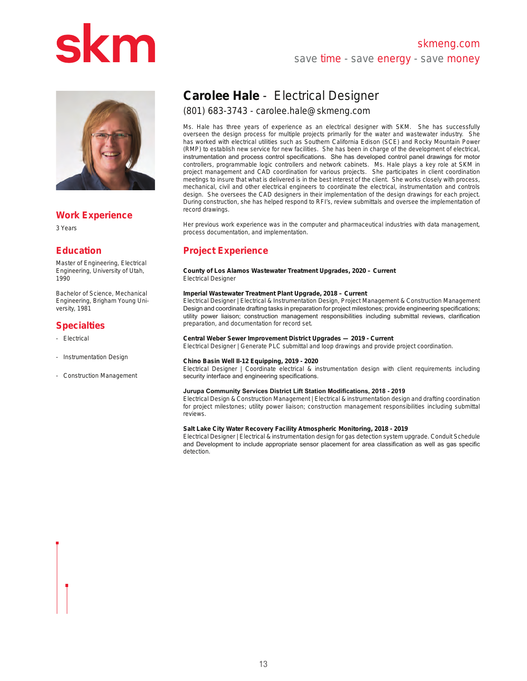## skmeng.com save time - save energy - save money



### **Work Experience**

3 Years

### **Education**

Master of Engineering, Electrical Engineering, University of Utah, 1990

Bachelor of Science, Mechanical Engineering, Brigham Young University, 1981

### **Specialties**

- Electrical -
- Instrumentation Design
- Construction Management

## **Carolee Hale** - Electrical Designer

### (801) 683-3743 - carolee.hale@skmeng.com

Ms. Hale has three years of experience as an electrical designer with SKM. She has successfully overseen the design process for multiple projects primarily for the water and wastewater industry. She has worked with electrical utilities such as Southern California Edison (SCE) and Rocky Mountain Power (RMP) to establish new service for new facilities. She has been in charge of the development of electrical, instrumentation and process control specifications. She has developed control panel drawings for motor controllers, programmable logic controllers and network cabinets. Ms. Hale plays a key role at SKM in project management and CAD coordination for various projects. She participates in client coordination meetings to insure that what is delivered is in the best interest of the client. She works closely with process, mechanical, civil and other electrical engineers to coordinate the electrical, instrumentation and controls design. She oversees the CAD designers in their implementation of the design drawings for each project. During construction, she has helped respond to RFI's, review submittals and oversee the implementation of record drawings.

Her previous work experience was in the computer and pharmaceutical industries with data management, process documentation, and implementation.

### **Project Experience**

**County of Los Alamos Wastewater Treatment Upgrades, 2020 – Current** Electrical Designer

### **Imperial Wastewater Treatment Plant Upgrade, 2018 – Current**

Electrical Designer | Electrical & Instrumentation Design, Project Management & Construction Management Design and coordinate drafting tasks in preparation for project milestones; provide engineering specifications; utility power liaison; construction management responsibilities including submittal reviews, clarification preparation, and documentation for record set.

#### **Central Weber Sewer Improvement District Upgrades — 2019 - Current**

Electrical Designer | Generate PLC submittal and loop drawings and provide project coordination.

#### **Chino Basin Well II-12 Equipping, 2019 - 2020**

Electrical Designer | Coordinate electrical & instrumentation design with client requirements including security interface and engineering specifications.

#### **Jurupa Community Services District Lift Station Modifications, 2018 - 2019**

Electrical Design & Construction Management | Electrical & instrumentation design and drafting coordination for project milestones; utility power liaison; construction management responsibilities including submittal reviews.

#### **Salt Lake City Water Recovery Facility Atmospheric Monitoring, 2018 - 2019**

Electrical Designer | Electrical & instrumentation design for gas detection system upgrade. Conduit Schedule and Development to include appropriate sensor placement for area classification as well as gas specific detection.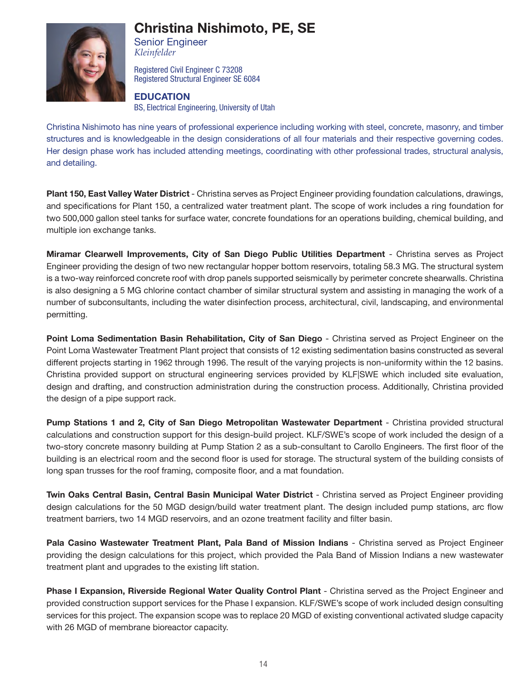

## Christina Nishimoto, PE, SE

Senior Engineer *Kleinfelder*

Registered Civil Engineer C 73208 Registered Structural Engineer SE 6084

### EDUCATION

BS, Electrical Engineering, University of Utah

Christina Nishimoto has nine years of professional experience including working with steel, concrete, masonry, and timber structures and is knowledgeable in the design considerations of all four materials and their respective governing codes. Her design phase work has included attending meetings, coordinating with other professional trades, structural analysis, and detailing.

Plant 150, East Valley Water District - Christina serves as Project Engineer providing foundation calculations, drawings, and specifications for Plant 150, a centralized water treatment plant. The scope of work includes a ring foundation for two 500,000 gallon steel tanks for surface water, concrete foundations for an operations building, chemical building, and multiple ion exchange tanks.

Miramar Clearwell Improvements, City of San Diego Public Utilities Department - Christina serves as Project Engineer providing the design of two new rectangular hopper bottom reservoirs, totaling 58.3 MG. The structural system is a two-way reinforced concrete roof with drop panels supported seismically by perimeter concrete shearwalls. Christina is also designing a 5 MG chlorine contact chamber of similar structural system and assisting in managing the work of a number of subconsultants, including the water disinfection process, architectural, civil, landscaping, and environmental permitting.

Point Loma Sedimentation Basin Rehabilitation, City of San Diego - Christina served as Project Engineer on the Point Loma Wastewater Treatment Plant project that consists of 12 existing sedimentation basins constructed as several different projects starting in 1962 through 1996. The result of the varying projects is non-uniformity within the 12 basins. Christina provided support on structural engineering services provided by KLF|SWE which included site evaluation, design and drafting, and construction administration during the construction process. Additionally, Christina provided the design of a pipe support rack.

Pump Stations 1 and 2, City of San Diego Metropolitan Wastewater Department - Christina provided structural calculations and construction support for this design-build project. KLF/SWE's scope of work included the design of a two-story concrete masonry building at Pump Station 2 as a sub-consultant to Carollo Engineers. The first floor of the building is an electrical room and the second floor is used for storage. The structural system of the building consists of long span trusses for the roof framing, composite floor, and a mat foundation.

Twin Oaks Central Basin, Central Basin Municipal Water District - Christina served as Project Engineer providing design calculations for the 50 MGD design/build water treatment plant. The design included pump stations, arc flow treatment barriers, two 14 MGD reservoirs, and an ozone treatment facility and filter basin.

Pala Casino Wastewater Treatment Plant, Pala Band of Mission Indians - Christina served as Project Engineer providing the design calculations for this project, which provided the Pala Band of Mission Indians a new wastewater treatment plant and upgrades to the existing lift station.

Phase I Expansion, Riverside Regional Water Quality Control Plant - Christina served as the Project Engineer and provided construction support services for the Phase I expansion. KLF/SWE's scope of work included design consulting services for this project. The expansion scope was to replace 20 MGD of existing conventional activated sludge capacity with 26 MGD of membrane bioreactor capacity.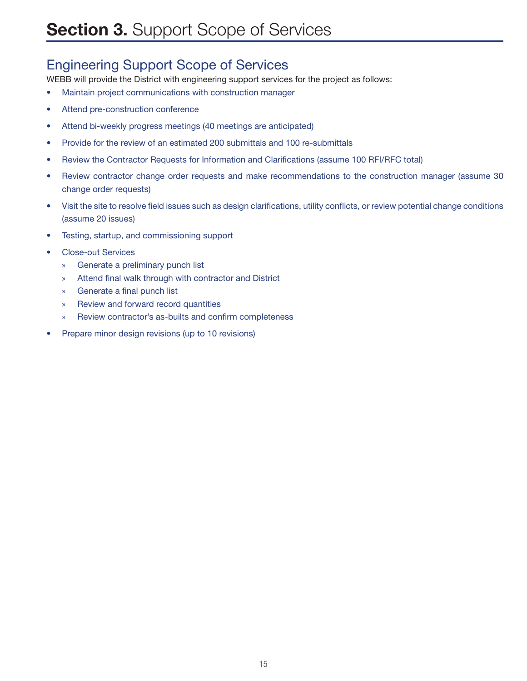## Engineering Support Scope of Services

WEBB will provide the District with engineering support services for the project as follows:

- Maintain project communications with construction manager
- Attend pre-construction conference
- Attend bi-weekly progress meetings (40 meetings are anticipated)
- Provide for the review of an estimated 200 submittals and 100 re-submittals
- Review the Contractor Requests for Information and Clarifications (assume 100 RFI/RFC total)
- Review contractor change order requests and make recommendations to the construction manager (assume 30 change order requests)
- Visit the site to resolve field issues such as design clarifications, utility conflicts, or review potential change conditions (assume 20 issues)
- Testing, startup, and commissioning support
- Close-out Services
	- » Generate a preliminary punch list
	- » Attend final walk through with contractor and District
	- » Generate a final punch list
	- » Review and forward record quantities
	- » Review contractor's as-builts and confirm completeness
- Prepare minor design revisions (up to 10 revisions)